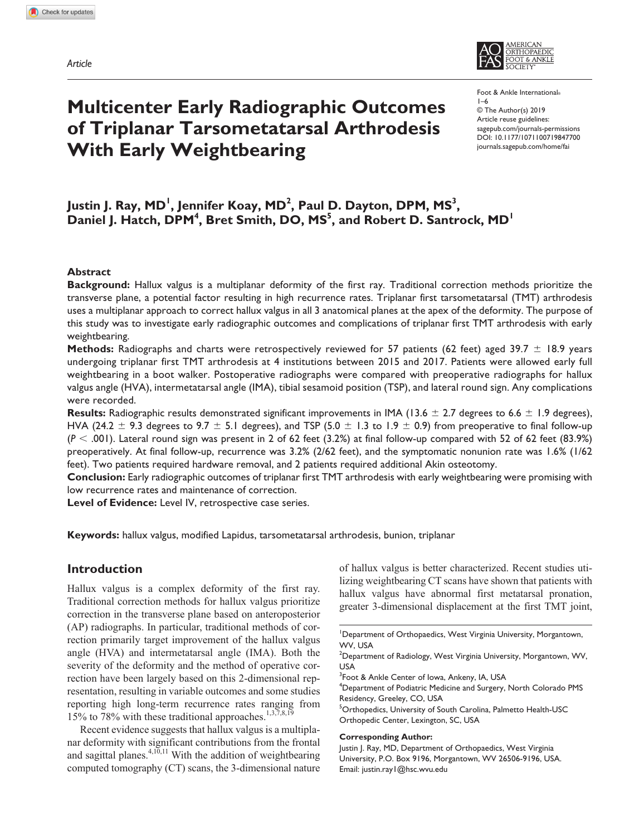*Article*



Foot & Ankle International® 1–6

https://doi.org/10.1177/1071100719847700 DOI: 10.1177/1071100719847700 © The Author(s) 2019 Article reuse guidelines: [sagepub.com/journals-permissions](https://us.sagepub.com/en-us/journals-permissions) [journals.sagepub.com/home/fai](https://journals.sagepub.com/home/fai)

# **Multicenter Early Radiographic Outcomes of Triplanar Tarsometatarsal Arthrodesis With Early Weightbearing**

# **J**ustin J. Ray, MD<sup>I</sup>, Jennifer Koay, MD<sup>2</sup>, Paul D. Dayton, DPM, MS<sup>3</sup>, Daniel J. Hatch, DPM<sup>4</sup>, Bret Smith, DO, MS<sup>5</sup>, and Robert D. Santrock, MD<sup>1</sup>

#### **Abstract**

**Background:** Hallux valgus is a multiplanar deformity of the first ray. Traditional correction methods prioritize the transverse plane, a potential factor resulting in high recurrence rates. Triplanar first tarsometatarsal (TMT) arthrodesis uses a multiplanar approach to correct hallux valgus in all 3 anatomical planes at the apex of the deformity. The purpose of this study was to investigate early radiographic outcomes and complications of triplanar first TMT arthrodesis with early weightbearing.

**Methods:** Radiographs and charts were retrospectively reviewed for 57 patients (62 feet) aged 39.7 ± 18.9 years undergoing triplanar first TMT arthrodesis at 4 institutions between 2015 and 2017. Patients were allowed early full weightbearing in a boot walker. Postoperative radiographs were compared with preoperative radiographs for hallux valgus angle (HVA), intermetatarsal angle (IMA), tibial sesamoid position (TSP), and lateral round sign. Any complications were recorded.

**Results:** Radiographic results demonstrated significant improvements in IMA (13.6  $\pm$  2.7 degrees to 6.6  $\pm$  1.9 degrees), HVA (24.2  $\pm$  9.3 degrees to 9.7  $\pm$  5.1 degrees), and TSP (5.0  $\pm$  1.3 to 1.9  $\pm$  0.9) from preoperative to final follow-up  $(P < .001)$ . Lateral round sign was present in 2 of 62 feet (3.2%) at final follow-up compared with 52 of 62 feet (83.9%) preoperatively. At final follow-up, recurrence was 3.2% (2/62 feet), and the symptomatic nonunion rate was 1.6% (1/62 feet). Two patients required hardware removal, and 2 patients required additional Akin osteotomy.

**Conclusion:** Early radiographic outcomes of triplanar first TMT arthrodesis with early weightbearing were promising with low recurrence rates and maintenance of correction.

**Level of Evidence:** Level IV, retrospective case series.

**Keywords:** hallux valgus, modified Lapidus, tarsometatarsal arthrodesis, bunion, triplanar

#### **Introduction**

Hallux valgus is a complex deformity of the first ray. Traditional correction methods for hallux valgus prioritize correction in the transverse plane based on anteroposterior (AP) radiographs. In particular, traditional methods of correction primarily target improvement of the hallux valgus angle (HVA) and intermetatarsal angle (IMA). Both the severity of the deformity and the method of operative correction have been largely based on this 2-dimensional representation, resulting in variable outcomes and some studies reporting high long-term recurrence rates ranging from 15% to 78% with these traditional approaches.<sup>1,3,7,8,19</sup>

Recent evidence suggests that hallux valgus is a multiplanar deformity with significant contributions from the frontal and sagittal planes. $4,10,11$  With the addition of weightbearing computed tomography (CT) scans, the 3-dimensional nature of hallux valgus is better characterized. Recent studies utilizing weightbearing CT scans have shown that patients with hallux valgus have abnormal first metatarsal pronation, greater 3-dimensional displacement at the first TMT joint,

<sup>5</sup>Orthopedics, University of South Carolina, Palmetto Health-USC Orthopedic Center, Lexington, SC, USA

#### **Corresponding Author:**

Justin J. Ray, MD, Department of Orthopaedics, West Virginia University, P.O. Box 9196, Morgantown, WV 26506-9196, USA. Email: [justin.ray1@hsc.wvu.edu](mailto:justin.ray1@hsc.wvu.edu)

<sup>&</sup>lt;sup>1</sup>Department of Orthopaedics, West Virginia University, Morgantown, WV, USA

 $^{2}$ Department of Radiology, West Virginia University, Morgantown, WV, USA

<sup>&</sup>lt;sup>3</sup>Foot & Ankle Center of Iowa, Ankeny, IA, USA

<sup>4</sup> Department of Podiatric Medicine and Surgery, North Colorado PMS Residency, Greeley, CO, USA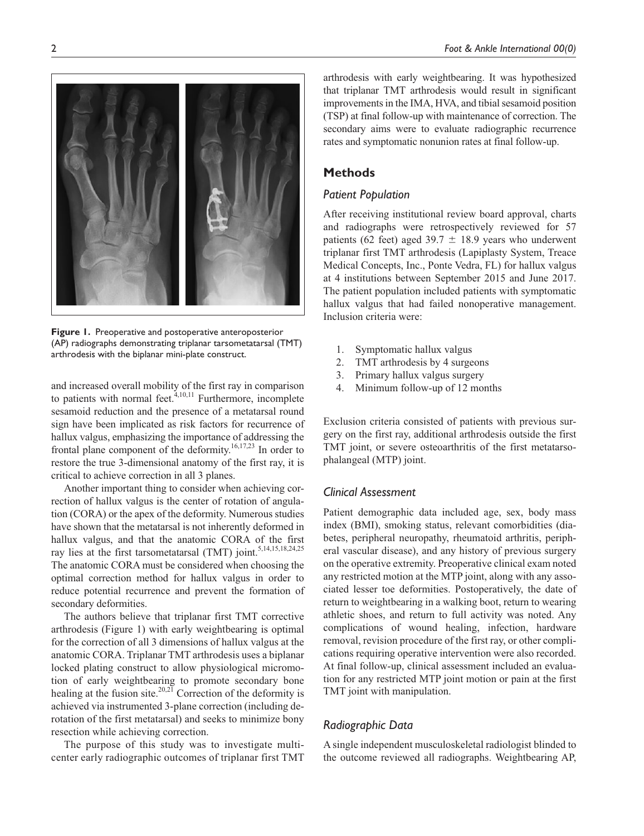

**Figure 1.** Preoperative and postoperative anteroposterior (AP) radiographs demonstrating triplanar tarsometatarsal (TMT) arthrodesis with the biplanar mini-plate construct.

and increased overall mobility of the first ray in comparison to patients with normal feet. $4,10,11$  Furthermore, incomplete sesamoid reduction and the presence of a metatarsal round sign have been implicated as risk factors for recurrence of hallux valgus, emphasizing the importance of addressing the frontal plane component of the deformity.<sup>16,17,23</sup> In order to restore the true 3-dimensional anatomy of the first ray, it is critical to achieve correction in all 3 planes.

Another important thing to consider when achieving correction of hallux valgus is the center of rotation of angulation (CORA) or the apex of the deformity. Numerous studies have shown that the metatarsal is not inherently deformed in hallux valgus, and that the anatomic CORA of the first ray lies at the first tarsometatarsal (TMT) joint.<sup>5,14,15,18,24,25</sup> The anatomic CORA must be considered when choosing the optimal correction method for hallux valgus in order to reduce potential recurrence and prevent the formation of secondary deformities.

The authors believe that triplanar first TMT corrective arthrodesis (Figure 1) with early weightbearing is optimal for the correction of all 3 dimensions of hallux valgus at the anatomic CORA. Triplanar TMT arthrodesis uses a biplanar locked plating construct to allow physiological micromotion of early weightbearing to promote secondary bone healing at the fusion site.<sup>20,21</sup> Correction of the deformity is achieved via instrumented 3-plane correction (including derotation of the first metatarsal) and seeks to minimize bony resection while achieving correction.

The purpose of this study was to investigate multicenter early radiographic outcomes of triplanar first TMT

arthrodesis with early weightbearing. It was hypothesized that triplanar TMT arthrodesis would result in significant improvements in the IMA, HVA, and tibial sesamoid position (TSP) at final follow-up with maintenance of correction. The secondary aims were to evaluate radiographic recurrence rates and symptomatic nonunion rates at final follow-up.

# **Methods**

# *Patient Population*

After receiving institutional review board approval, charts and radiographs were retrospectively reviewed for 57 patients (62 feet) aged 39.7  $\pm$  18.9 years who underwent triplanar first TMT arthrodesis (Lapiplasty System, Treace Medical Concepts, Inc., Ponte Vedra, FL) for hallux valgus at 4 institutions between September 2015 and June 2017. The patient population included patients with symptomatic hallux valgus that had failed nonoperative management. Inclusion criteria were:

- 1. Symptomatic hallux valgus
- 2. TMT arthrodesis by 4 surgeons
- 3. Primary hallux valgus surgery
- 4. Minimum follow-up of 12 months

Exclusion criteria consisted of patients with previous surgery on the first ray, additional arthrodesis outside the first TMT joint, or severe osteoarthritis of the first metatarsophalangeal (MTP) joint.

## *Clinical Assessment*

Patient demographic data included age, sex, body mass index (BMI), smoking status, relevant comorbidities (diabetes, peripheral neuropathy, rheumatoid arthritis, peripheral vascular disease), and any history of previous surgery on the operative extremity. Preoperative clinical exam noted any restricted motion at the MTP joint, along with any associated lesser toe deformities. Postoperatively, the date of return to weightbearing in a walking boot, return to wearing athletic shoes, and return to full activity was noted. Any complications of wound healing, infection, hardware removal, revision procedure of the first ray, or other complications requiring operative intervention were also recorded. At final follow-up, clinical assessment included an evaluation for any restricted MTP joint motion or pain at the first TMT joint with manipulation.

# *Radiographic Data*

A single independent musculoskeletal radiologist blinded to the outcome reviewed all radiographs. Weightbearing AP,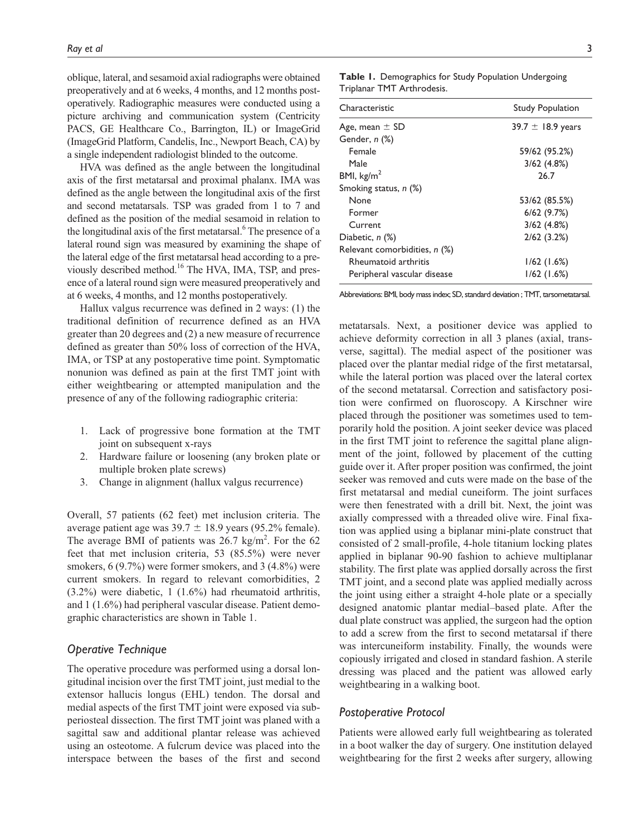oblique, lateral, and sesamoid axial radiographs were obtained preoperatively and at 6 weeks, 4 months, and 12 months postoperatively. Radiographic measures were conducted using a picture archiving and communication system (Centricity PACS, GE Healthcare Co., Barrington, IL) or ImageGrid (ImageGrid Platform, Candelis, Inc., Newport Beach, CA) by a single independent radiologist blinded to the outcome.

HVA was defined as the angle between the longitudinal axis of the first metatarsal and proximal phalanx. IMA was defined as the angle between the longitudinal axis of the first and second metatarsals. TSP was graded from 1 to 7 and defined as the position of the medial sesamoid in relation to the longitudinal axis of the first metatarsal.<sup>6</sup> The presence of a lateral round sign was measured by examining the shape of the lateral edge of the first metatarsal head according to a previously described method.<sup>16</sup> The HVA, IMA, TSP, and presence of a lateral round sign were measured preoperatively and at 6 weeks, 4 months, and 12 months postoperatively.

Hallux valgus recurrence was defined in 2 ways: (1) the traditional definition of recurrence defined as an HVA greater than 20 degrees and (2) a new measure of recurrence defined as greater than 50% loss of correction of the HVA, IMA, or TSP at any postoperative time point. Symptomatic nonunion was defined as pain at the first TMT joint with either weightbearing or attempted manipulation and the presence of any of the following radiographic criteria:

- 1. Lack of progressive bone formation at the TMT joint on subsequent x-rays
- 2. Hardware failure or loosening (any broken plate or multiple broken plate screws)
- 3. Change in alignment (hallux valgus recurrence)

Overall, 57 patients (62 feet) met inclusion criteria. The average patient age was  $39.7 \pm 18.9$  years (95.2% female). The average BMI of patients was  $26.7 \text{ kg/m}^2$ . For the 62 feet that met inclusion criteria, 53 (85.5%) were never smokers, 6 (9.7%) were former smokers, and 3 (4.8%) were current smokers. In regard to relevant comorbidities, 2 (3.2%) were diabetic, 1 (1.6%) had rheumatoid arthritis, and 1 (1.6%) had peripheral vascular disease. Patient demographic characteristics are shown in Table 1.

#### *Operative Technique*

The operative procedure was performed using a dorsal longitudinal incision over the first TMT joint, just medial to the extensor hallucis longus (EHL) tendon. The dorsal and medial aspects of the first TMT joint were exposed via subperiosteal dissection. The first TMT joint was planed with a sagittal saw and additional plantar release was achieved using an osteotome. A fulcrum device was placed into the interspace between the bases of the first and second

**Table 1.** Demographics for Study Population Undergoing Triplanar TMT Arthrodesis.

| Characteristic                | <b>Study Population</b> |
|-------------------------------|-------------------------|
| Age, mean $\pm$ SD            | 39.7 $\pm$ 18.9 years   |
| Gender, n (%)                 |                         |
| Female                        | 59/62 (95.2%)           |
| Male                          | $3/62$ (4.8%)           |
| BMI, $\text{kg/m}^2$          | 26.7                    |
| Smoking status, n (%)         |                         |
| None                          | 53/62 (85.5%)           |
| Former                        | 6/62(9.7%)              |
| Current                       | $3/62$ (4.8%)           |
| Diabetic, n (%)               | 2/62(3.2%)              |
| Relevant comorbidities, n (%) |                         |
| <b>Rheumatoid arthritis</b>   | $1/62$ (1.6%)           |
| Peripheral vascular disease   | $1/62$ (1.6%)           |

Abbreviations: BMI, body mass index; SD, standard deviation ; TMT, tarsometatarsal.

metatarsals. Next, a positioner device was applied to achieve deformity correction in all 3 planes (axial, transverse, sagittal). The medial aspect of the positioner was placed over the plantar medial ridge of the first metatarsal, while the lateral portion was placed over the lateral cortex of the second metatarsal. Correction and satisfactory position were confirmed on fluoroscopy. A Kirschner wire placed through the positioner was sometimes used to temporarily hold the position. A joint seeker device was placed in the first TMT joint to reference the sagittal plane alignment of the joint, followed by placement of the cutting guide over it. After proper position was confirmed, the joint seeker was removed and cuts were made on the base of the first metatarsal and medial cuneiform. The joint surfaces were then fenestrated with a drill bit. Next, the joint was axially compressed with a threaded olive wire. Final fixation was applied using a biplanar mini-plate construct that consisted of 2 small-profile, 4-hole titanium locking plates applied in biplanar 90-90 fashion to achieve multiplanar stability. The first plate was applied dorsally across the first TMT joint, and a second plate was applied medially across the joint using either a straight 4-hole plate or a specially designed anatomic plantar medial–based plate. After the dual plate construct was applied, the surgeon had the option to add a screw from the first to second metatarsal if there was intercuneiform instability. Finally, the wounds were copiously irrigated and closed in standard fashion. A sterile dressing was placed and the patient was allowed early weightbearing in a walking boot.

#### *Postoperative Protocol*

Patients were allowed early full weightbearing as tolerated in a boot walker the day of surgery. One institution delayed weightbearing for the first 2 weeks after surgery, allowing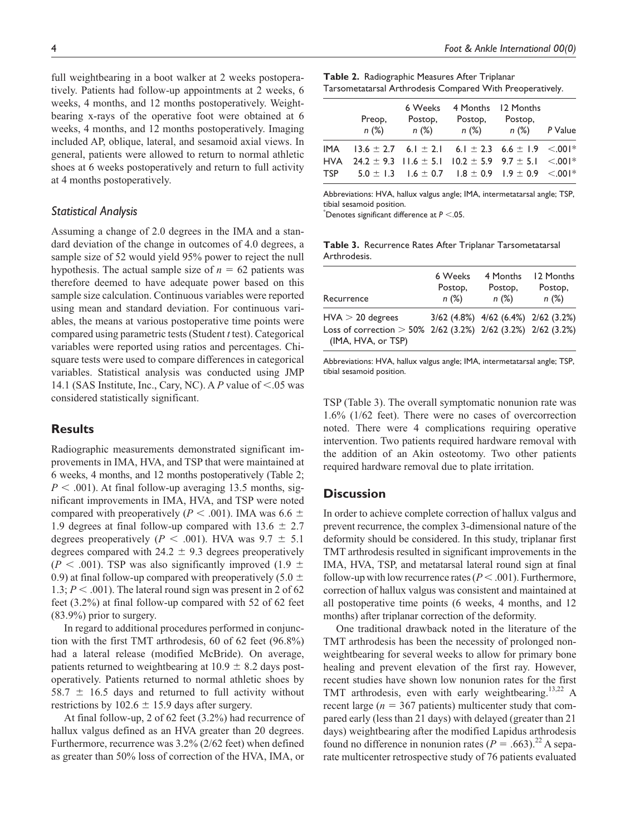full weightbearing in a boot walker at 2 weeks postoperatively. Patients had follow-up appointments at 2 weeks, 6 weeks, 4 months, and 12 months postoperatively. Weightbearing x-rays of the operative foot were obtained at 6 weeks, 4 months, and 12 months postoperatively. Imaging included AP, oblique, lateral, and sesamoid axial views. In general, patients were allowed to return to normal athletic shoes at 6 weeks postoperatively and return to full activity at 4 months postoperatively.

#### *Statistical Analysis*

Assuming a change of 2.0 degrees in the IMA and a standard deviation of the change in outcomes of 4.0 degrees, a sample size of 52 would yield 95% power to reject the null hypothesis. The actual sample size of  $n = 62$  patients was therefore deemed to have adequate power based on this sample size calculation. Continuous variables were reported using mean and standard deviation. For continuous variables, the means at various postoperative time points were compared using parametric tests (Student *t* test). Categorical variables were reported using ratios and percentages. Chisquare tests were used to compare differences in categorical variables. Statistical analysis was conducted using JMP 14.1 (SAS Institute, Inc., Cary, NC). A *P* value of <.05 was considered statistically significant.

## **Results**

Radiographic measurements demonstrated significant improvements in IMA, HVA, and TSP that were maintained at 6 weeks, 4 months, and 12 months postoperatively (Table 2;  $P < .001$ ). At final follow-up averaging 13.5 months, significant improvements in IMA, HVA, and TSP were noted compared with preoperatively ( $P < .001$ ). IMA was 6.6  $\pm$ 1.9 degrees at final follow-up compared with  $13.6 \pm 2.7$ degrees preoperatively ( $P < .001$ ). HVA was  $9.7 \pm 5.1$ degrees compared with  $24.2 \pm 9.3$  degrees preoperatively  $(P < .001)$ . TSP was also significantly improved  $(1.9 \pm 1.001)$ 0.9) at final follow-up compared with preoperatively (5.0  $\pm$ 1.3;  $P < .001$ ). The lateral round sign was present in 2 of 62 feet (3.2%) at final follow-up compared with 52 of 62 feet (83.9%) prior to surgery.

In regard to additional procedures performed in conjunction with the first TMT arthrodesis, 60 of 62 feet (96.8%) had a lateral release (modified McBride). On average, patients returned to weightbearing at  $10.9 \pm 8.2$  days postoperatively. Patients returned to normal athletic shoes by  $58.7 \pm 16.5$  days and returned to full activity without restrictions by 102.6  $\pm$  15.9 days after surgery.

At final follow-up, 2 of 62 feet (3.2%) had recurrence of hallux valgus defined as an HVA greater than 20 degrees. Furthermore, recurrence was 3.2% (2/62 feet) when defined as greater than 50% loss of correction of the HVA, IMA, or

| Table 2. Radiographic Measures After Triplanar            |  |
|-----------------------------------------------------------|--|
| Tarsometatarsal Arthrodesis Compared With Preoperatively. |  |

|            | Preop,<br>n (%)                                                       | 6 Weeks<br>Postop,<br>n (%) | Postop,                                                              | 4 Months 12 Months<br>Postop,<br>$n(\%)$ $n(\%)$ P Value |  |
|------------|-----------------------------------------------------------------------|-----------------------------|----------------------------------------------------------------------|----------------------------------------------------------|--|
|            | IMA $13.6 \pm 2.7$ 6.1 $\pm 2.1$ 6.1 $\pm 2.3$ 6.6 $\pm 1.9$ <.001*   |                             |                                                                      |                                                          |  |
|            | HVA 24.2 $\pm$ 9.3 11.6 $\pm$ 5.1 10.2 $\pm$ 5.9 9.7 $\pm$ 5.1 <.001* |                             |                                                                      |                                                          |  |
| <b>TSP</b> |                                                                       |                             | $5.0 \pm 1.3$ $1.6 \pm 0.7$ $1.8 \pm 0.9$ $1.9 \pm 0.9$ $\leq .001*$ |                                                          |  |

Abbreviations: HVA, hallux valgus angle; IMA, intermetatarsal angle; TSP, tibial sesamoid position.

\* Denotes significant difference at *P* <.05.

**Table 3.** Recurrence Rates After Triplanar Tarsometatarsal Arthrodesis.

| Recurrence                                                                                                 | 6 Weeks | 4 Months                            | 12 Months |
|------------------------------------------------------------------------------------------------------------|---------|-------------------------------------|-----------|
|                                                                                                            | Postop, | Postop,                             | Postop,   |
|                                                                                                            | n(%)    | n(%)                                | n(%)      |
| $HVA > 20$ degrees<br>Loss of correction $>$ 50% 2/62 (3.2%) 2/62 (3.2%) 2/62 (3.2%)<br>(IMA, HVA, or TSP) |         | 3/62 (4.8%) 4/62 (6.4%) 2/62 (3.2%) |           |

Abbreviations: HVA, hallux valgus angle; IMA, intermetatarsal angle; TSP, tibial sesamoid position.

TSP (Table 3). The overall symptomatic nonunion rate was 1.6% (1/62 feet). There were no cases of overcorrection noted. There were 4 complications requiring operative intervention. Two patients required hardware removal with the addition of an Akin osteotomy. Two other patients required hardware removal due to plate irritation.

## **Discussion**

In order to achieve complete correction of hallux valgus and prevent recurrence, the complex 3-dimensional nature of the deformity should be considered. In this study, triplanar first TMT arthrodesis resulted in significant improvements in the IMA, HVA, TSP, and metatarsal lateral round sign at final follow-up with low recurrence rates  $(P < .001)$ . Furthermore, correction of hallux valgus was consistent and maintained at all postoperative time points (6 weeks, 4 months, and 12 months) after triplanar correction of the deformity.

One traditional drawback noted in the literature of the TMT arthrodesis has been the necessity of prolonged nonweightbearing for several weeks to allow for primary bone healing and prevent elevation of the first ray. However, recent studies have shown low nonunion rates for the first TMT arthrodesis, even with early weightbearing.<sup>13,22</sup> A recent large ( $n = 367$  patients) multicenter study that compared early (less than 21 days) with delayed (greater than 21 days) weightbearing after the modified Lapidus arthrodesis found no difference in nonunion rates  $(P = .663)$ .<sup>22</sup> A separate multicenter retrospective study of 76 patients evaluated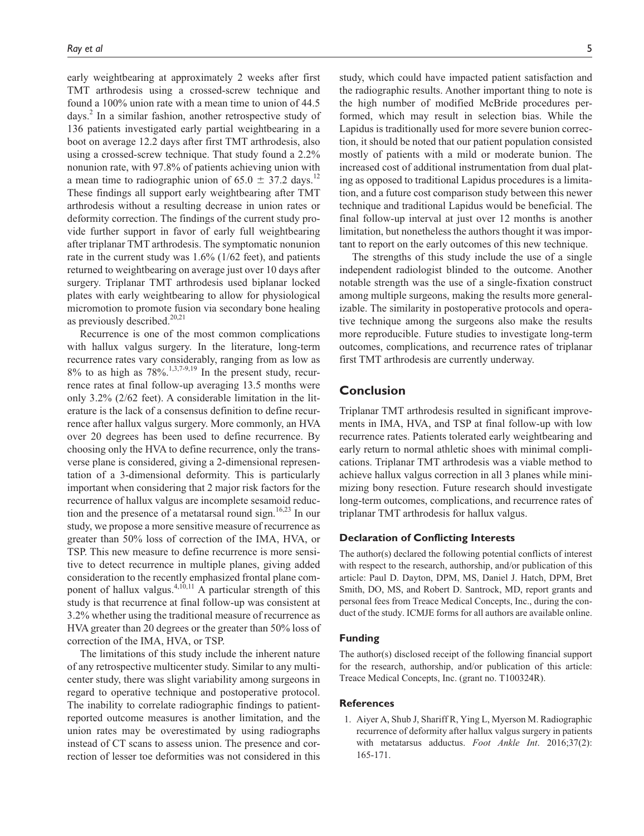early weightbearing at approximately 2 weeks after first TMT arthrodesis using a crossed-screw technique and found a 100% union rate with a mean time to union of 44.5 days.<sup>2</sup> In a similar fashion, another retrospective study of 136 patients investigated early partial weightbearing in a boot on average 12.2 days after first TMT arthrodesis, also using a crossed-screw technique. That study found a 2.2% nonunion rate, with 97.8% of patients achieving union with a mean time to radiographic union of  $65.0 \pm 37.2$  days.<sup>12</sup> These findings all support early weightbearing after TMT arthrodesis without a resulting decrease in union rates or deformity correction. The findings of the current study provide further support in favor of early full weightbearing after triplanar TMT arthrodesis. The symptomatic nonunion rate in the current study was 1.6% (1/62 feet), and patients returned to weightbearing on average just over 10 days after surgery. Triplanar TMT arthrodesis used biplanar locked plates with early weightbearing to allow for physiological micromotion to promote fusion via secondary bone healing as previously described.<sup>20,21</sup>

Recurrence is one of the most common complications with hallux valgus surgery. In the literature, long-term recurrence rates vary considerably, ranging from as low as  $8\%$  to as high as  $78\%$ <sup>1,3,7-9,19</sup> In the present study, recurrence rates at final follow-up averaging 13.5 months were only 3.2% (2/62 feet). A considerable limitation in the literature is the lack of a consensus definition to define recurrence after hallux valgus surgery. More commonly, an HVA over 20 degrees has been used to define recurrence. By choosing only the HVA to define recurrence, only the transverse plane is considered, giving a 2-dimensional representation of a 3-dimensional deformity. This is particularly important when considering that 2 major risk factors for the recurrence of hallux valgus are incomplete sesamoid reduction and the presence of a metatarsal round sign.<sup>16,23</sup> In our study, we propose a more sensitive measure of recurrence as greater than 50% loss of correction of the IMA, HVA, or TSP. This new measure to define recurrence is more sensitive to detect recurrence in multiple planes, giving added consideration to the recently emphasized frontal plane component of hallux valgus.<sup>4,10,11</sup> A particular strength of this study is that recurrence at final follow-up was consistent at 3.2% whether using the traditional measure of recurrence as HVA greater than 20 degrees or the greater than 50% loss of correction of the IMA, HVA, or TSP.

The limitations of this study include the inherent nature of any retrospective multicenter study. Similar to any multicenter study, there was slight variability among surgeons in regard to operative technique and postoperative protocol. The inability to correlate radiographic findings to patientreported outcome measures is another limitation, and the union rates may be overestimated by using radiographs instead of CT scans to assess union. The presence and correction of lesser toe deformities was not considered in this study, which could have impacted patient satisfaction and the radiographic results. Another important thing to note is the high number of modified McBride procedures performed, which may result in selection bias. While the Lapidus is traditionally used for more severe bunion correction, it should be noted that our patient population consisted mostly of patients with a mild or moderate bunion. The increased cost of additional instrumentation from dual plating as opposed to traditional Lapidus procedures is a limitation, and a future cost comparison study between this newer technique and traditional Lapidus would be beneficial. The final follow-up interval at just over 12 months is another limitation, but nonetheless the authors thought it was important to report on the early outcomes of this new technique.

The strengths of this study include the use of a single independent radiologist blinded to the outcome. Another notable strength was the use of a single-fixation construct among multiple surgeons, making the results more generalizable. The similarity in postoperative protocols and operative technique among the surgeons also make the results more reproducible. Future studies to investigate long-term outcomes, complications, and recurrence rates of triplanar first TMT arthrodesis are currently underway.

## **Conclusion**

Triplanar TMT arthrodesis resulted in significant improvements in IMA, HVA, and TSP at final follow-up with low recurrence rates. Patients tolerated early weightbearing and early return to normal athletic shoes with minimal complications. Triplanar TMT arthrodesis was a viable method to achieve hallux valgus correction in all 3 planes while minimizing bony resection. Future research should investigate long-term outcomes, complications, and recurrence rates of triplanar TMT arthrodesis for hallux valgus.

#### **Declaration of Conflicting Interests**

The author(s) declared the following potential conflicts of interest with respect to the research, authorship, and/or publication of this article: Paul D. Dayton, DPM, MS, Daniel J. Hatch, DPM, Bret Smith, DO, MS, and Robert D. Santrock, MD, report grants and personal fees from Treace Medical Concepts, Inc., during the conduct of the study. ICMJE forms for all authors are available online.

#### **Funding**

The author(s) disclosed receipt of the following financial support for the research, authorship, and/or publication of this article: Treace Medical Concepts, Inc. (grant no. T100324R).

#### **References**

1. Aiyer A, Shub J, Shariff R, Ying L, Myerson M. Radiographic recurrence of deformity after hallux valgus surgery in patients with metatarsus adductus. *Foot Ankle Int*. 2016;37(2): 165-171.